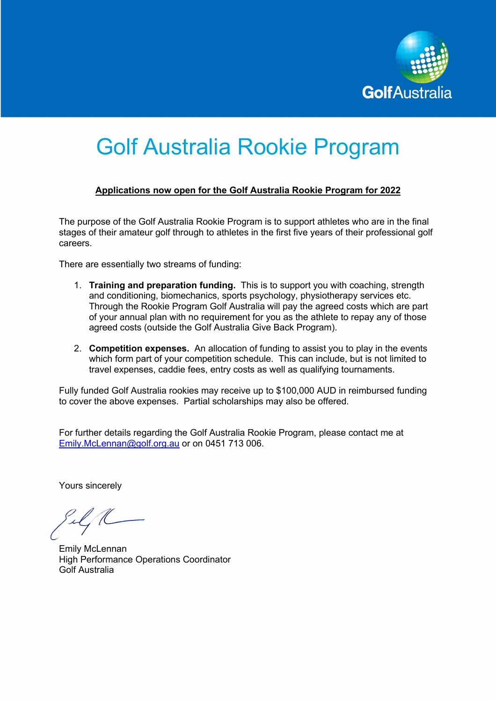

# Golf Australia Rookie Program

# **Applications now open for the Golf Australia Rookie Program for 2022**

The purpose of the Golf Australia Rookie Program is to support athletes who are in the final stages of their amateur golf through to athletes in the first five years of their professional golf careers.

There are essentially two streams of funding:

- 1. **Training and preparation funding.** This is to support you with coaching, strength and conditioning, biomechanics, sports psychology, physiotherapy services etc. Through the Rookie Program Golf Australia will pay the agreed costs which are part of your annual plan with no requirement for you as the athlete to repay any of those agreed costs (outside the Golf Australia Give Back Program).
- 2. **Competition expenses.** An allocation of funding to assist you to play in the events which form part of your competition schedule. This can include, but is not limited to travel expenses, caddie fees, entry costs as well as qualifying tournaments.

Fully funded Golf Australia rookies may receive up to \$100,000 AUD in reimbursed funding to cover the above expenses. Partial scholarships may also be offered.

For further details regarding the Golf Australia Rookie Program, please contact me at Emily.McLennan@golf.org.au or on 0451 713 006.

Yours sincerely

Emily McLennan High Performance Operations Coordinator Golf Australia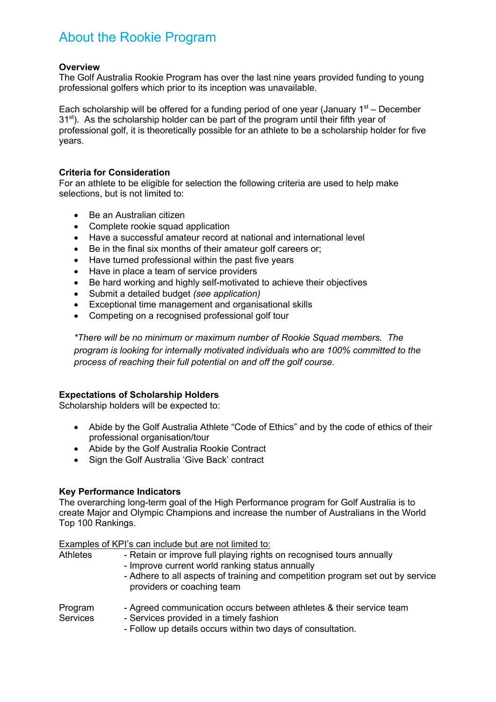# About the Rookie Program

# **Overview**

The Golf Australia Rookie Program has over the last nine years provided funding to young professional golfers which prior to its inception was unavailable.

Each scholarship will be offered for a funding period of one year (January  $1<sup>st</sup>$  – December  $31<sup>st</sup>$ ). As the scholarship holder can be part of the program until their fifth year of professional golf, it is theoretically possible for an athlete to be a scholarship holder for five years.

# **Criteria for Consideration**

For an athlete to be eligible for selection the following criteria are used to help make selections, but is not limited to:

- Be an Australian citizen
- Complete rookie squad application
- Have a successful amateur record at national and international level
- Be in the final six months of their amateur golf careers or;
- Have turned professional within the past five years
- Have in place a team of service providers
- Be hard working and highly self-motivated to achieve their objectives
- Submit a detailed budget *(see application)*
- Exceptional time management and organisational skills
- Competing on a recognised professional golf tour

*\*There will be no minimum or maximum number of Rookie Squad members. The program is looking for internally motivated individuals who are 100% committed to the process of reaching their full potential on and off the golf course.*

# **Expectations of Scholarship Holders**

Scholarship holders will be expected to:

- Abide by the Golf Australia Athlete "Code of Ethics" and by the code of ethics of their professional organisation/tour
- Abide by the Golf Australia Rookie Contract
- Sign the Golf Australia 'Give Back' contract

#### **Key Performance Indicators**

The overarching long-term goal of the High Performance program for Golf Australia is to create Major and Olympic Champions and increase the number of Australians in the World Top 100 Rankings.

Examples of KPI's can include but are not limited to:

| <b>Athletes</b>            | - Retain or improve full playing rights on recognised tours annually<br>- Improve current world ranking status annually<br>- Adhere to all aspects of training and competition program set out by service<br>providers or coaching team |
|----------------------------|-----------------------------------------------------------------------------------------------------------------------------------------------------------------------------------------------------------------------------------------|
| Program<br><b>Services</b> | - Agreed communication occurs between athletes & their service team<br>- Services provided in a timely fashion<br>- Follow up details occurs within two days of consultation.                                                           |